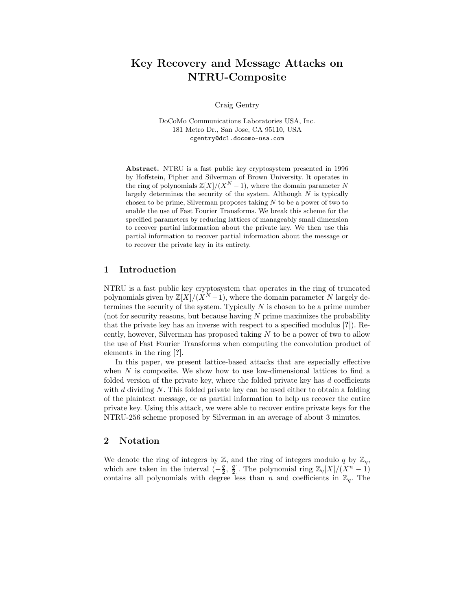# Key Recovery and Message Attacks on NTRU-Composite

Craig Gentry

DoCoMo Communications Laboratories USA, Inc. 181 Metro Dr., San Jose, CA 95110, USA cgentry@dcl.docomo-usa.com

Abstract. NTRU is a fast public key cryptosystem presented in 1996 by Hoffstein, Pipher and Silverman of Brown University. It operates in the ring of polynomials  $\mathbb{Z}[X]/(X^N-1)$ , where the domain parameter N largely determines the security of the system. Although  $N$  is typically chosen to be prime, Silverman proposes taking  $N$  to be a power of two to enable the use of Fast Fourier Transforms. We break this scheme for the specified parameters by reducing lattices of manageably small dimension to recover partial information about the private key. We then use this partial information to recover partial information about the message or to recover the private key in its entirety.

## 1 Introduction

NTRU is a fast public key cryptosystem that operates in the ring of truncated polynomials given by  $\mathbb{Z}[X]/(X^N-1)$ , where the domain parameter N largely determines the security of the system. Typically  $N$  is chosen to be a prime number (not for security reasons, but because having N prime maximizes the probability that the private key has an inverse with respect to a specified modulus [?]). Recently, however, Silverman has proposed taking  $N$  to be a power of two to allow the use of Fast Fourier Transforms when computing the convolution product of elements in the ring [?].

In this paper, we present lattice-based attacks that are especially effective when  $N$  is composite. We show how to use low-dimensional lattices to find a folded version of the private key, where the folded private key has  $d$  coefficients with  $d$  dividing  $N$ . This folded private key can be used either to obtain a folding of the plaintext message, or as partial information to help us recover the entire private key. Using this attack, we were able to recover entire private keys for the NTRU-256 scheme proposed by Silverman in an average of about 3 minutes.

## 2 Notation

We denote the ring of integers by  $\mathbb{Z}$ , and the ring of integers modulo q by  $\mathbb{Z}_q$ , which are taken in the interval  $\left(-\frac{q}{2}, \frac{q}{2}\right]$ . The polynomial ring  $\mathbb{Z}_q[X]/(X^n-1)$ contains all polynomials with degree less than n and coefficients in  $\mathbb{Z}_q$ . The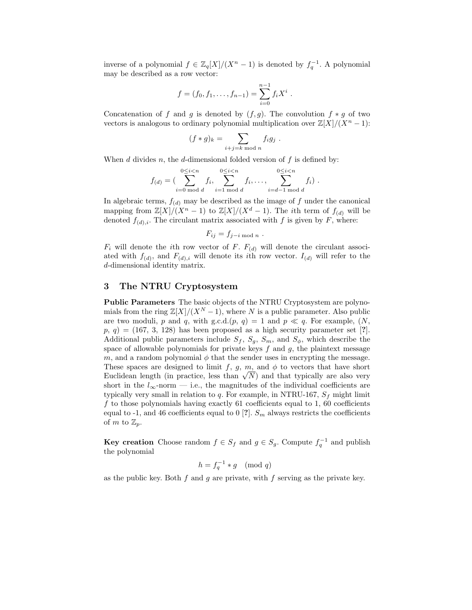inverse of a polynomial  $f \in \mathbb{Z}_q[X]/(X^n - 1)$  is denoted by  $f_q^{-1}$ . A polynomial may be described as a row vector:

$$
f = (f_0, f_1, \ldots, f_{n-1}) = \sum_{i=0}^{n-1} f_i X^i
$$
.

Concatenation of f and g is denoted by  $(f, g)$ . The convolution  $f * g$  of two vectors is analogous to ordinary polynomial multiplication over  $\mathbb{Z}[X]/(X^n-1)$ :

$$
(f * g)_k = \sum_{i+j=k \bmod n} f_i g_j .
$$

When  $d$  divides  $n$ , the  $d$ -dimensional folded version of  $f$  is defined by:

$$
f_{(d)} = \left( \sum_{i=0 \bmod d}^{0 \le i < n} f_i, \sum_{i=1 \bmod d}^{0 \le i < n} f_i, \ldots, \sum_{i=d-1 \bmod d}^{0 \le i < n} f_i \right).
$$

In algebraic terms,  $f_{(d)}$  may be described as the image of f under the canonical mapping from  $\mathbb{Z}[X]/(X^n-1)$  to  $\mathbb{Z}[X]/(X^d-1)$ . The *i*th term of  $f_{(d)}$  will be denoted  $f_{(d),i}$ . The circulant matrix associated with f is given by F, where:

$$
F_{ij} = f_{j-i \bmod n} .
$$

 $F_i$  will denote the *i*th row vector of F.  $F_{(d)}$  will denote the circulant associated with  $f_{(d)}$ , and  $F_{(d),i}$  will denote its *i*th row vector.  $I_{(d)}$  will refer to the d-dimensional identity matrix.

## 3 The NTRU Cryptosystem

Public Parameters The basic objects of the NTRU Cryptosystem are polynomials from the ring  $\mathbb{Z}[X]/(X^N-1)$ , where N is a public parameter. Also public are two moduli, p and q, with g.c.d. $(p, q) = 1$  and  $p \ll q$ . For example,  $(N, q)$  $p, q) = (167, 3, 128)$  has been proposed as a high security parameter set [?]. Additional public parameters include  $S_f$ ,  $S_g$ ,  $S_m$ , and  $S_\phi$ , which describe the space of allowable polynomials for private keys  $f$  and  $g$ , the plaintext message m, and a random polynomial  $\phi$  that the sender uses in encrypting the message. These spaces are designed to limit f, g, m, and  $\phi$  to vectors that have short Euclidean length (in practice, less than  $\sqrt{N}$ ) and that typically are also very short in the  $l_{\infty}$ -norm — i.e., the magnitudes of the individual coefficients are typically very small in relation to q. For example, in NTRU-167,  $S_f$  might limit f to those polynomials having exactly  $61$  coefficients equal to 1,  $60$  coefficients equal to -1, and 46 coefficients equal to 0 [?].  $S_m$  always restricts the coefficients of m to  $\mathbb{Z}_p$ .

**Key creation** Choose random  $f \in S_f$  and  $g \in S_g$ . Compute  $f_q^{-1}$  and publish the polynomial

$$
h = f_q^{-1} * g \pmod{q}
$$

as the public key. Both  $f$  and  $g$  are private, with  $f$  serving as the private key.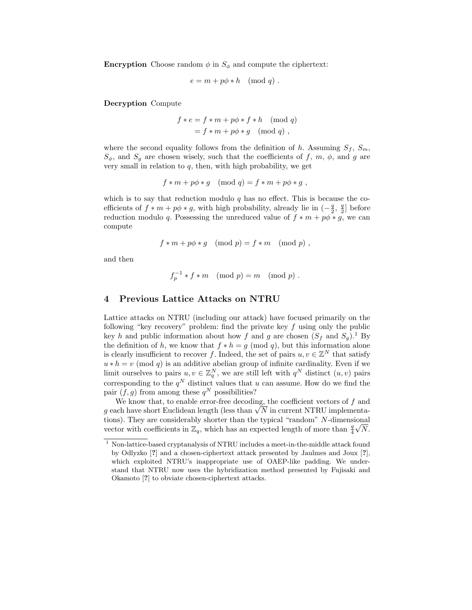**Encryption** Choose random  $\phi$  in  $S_{\phi}$  and compute the ciphertext:

$$
e = m + p\phi * h \pmod{q} .
$$

Decryption Compute

$$
f * e = f * m + p\phi * f * h \pmod{q}
$$
  
=  $f * m + p\phi * g \pmod{q}$ ,

where the second equality follows from the definition of h. Assuming  $S_f$ ,  $S_m$ ,  $S_{\phi}$ , and  $S_g$  are chosen wisely, such that the coefficients of f, m,  $\phi$ , and g are very small in relation to  $q$ , then, with high probability, we get

$$
f * m + p\phi * g \pmod{q} = f * m + p\phi * g,
$$

which is to say that reduction modulo  $q$  has no effect. This is because the coefficients of  $f * m + p\phi * g$ , with high probability, already lie in  $\left(-\frac{g}{2}, \frac{g}{2}\right]$  before reduction modulo q. Possessing the unreduced value of  $f * m + p\phi * g$ , we can compute

$$
f * m + p\phi * g \pmod{p} = f * m \pmod{p},
$$

and then

$$
f_p^{-1} * f * m \pmod{p} = m \pmod{p} .
$$

## 4 Previous Lattice Attacks on NTRU

Lattice attacks on NTRU (including our attack) have focused primarily on the following "key recovery" problem: find the private key  $f$  using only the public key h and public information about how f and g are chosen  $(S_f$  and  $S_g)$ .<sup>1</sup> By the definition of h, we know that  $f * h = g \pmod{q}$ , but this information alone is clearly insufficient to recover f. Indeed, the set of pairs  $u, v \in \mathbb{Z}^N$  that satisfy  $u * h = v \pmod{q}$  is an additive abelian group of infinite cardinality. Even if we limit ourselves to pairs  $u, v \in \mathbb{Z}_q^N$ , we are still left with  $q^N$  distinct  $(u, v)$  pairs corresponding to the  $q^N$  distinct values that u can assume. How do we find the pair  $(f, g)$  from among these  $q^N$  possibilities?

We know that, to enable error-free decoding, the coefficient vectors of  $f$  and g each have short Euclidean length (less than  $\sqrt{N}$  in current NTRU implementations). They are considerably shorter than the typical "random" N-dimensional vector with coefficients in  $\mathbb{Z}_q$ , which has an expected length of more than  $\frac{q}{4}$  $\sqrt{N}$ .

<sup>1</sup> Non-lattice-based cryptanalysis of NTRU includes a meet-in-the-middle attack found by Odlyzko [?] and a chosen-ciphertext attack presented by Jaulmes and Joux [?], which exploited NTRU's inappropriate use of OAEP-like padding. We understand that NTRU now uses the hybridization method presented by Fujisaki and Okamoto [?] to obviate chosen-ciphertext attacks.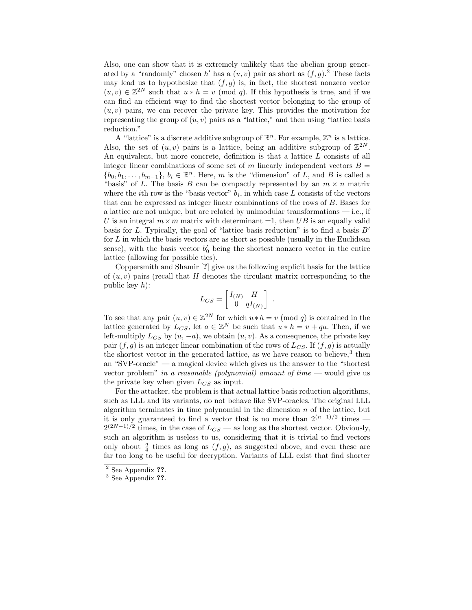Also, one can show that it is extremely unlikely that the abelian group generated by a "randomly" chosen h' has a  $(u, v)$  pair as short as  $(f, g)$ .<sup>2</sup> These facts may lead us to hypothesize that  $(f, g)$  is, in fact, the shortest nonzero vector  $(u, v) \in \mathbb{Z}^{2N}$  such that  $u * h = v \pmod{q}$ . If this hypothesis is true, and if we can find an efficient way to find the shortest vector belonging to the group of  $(u, v)$  pairs, we can recover the private key. This provides the motivation for representing the group of  $(u, v)$  pairs as a "lattice," and then using "lattice basis reduction."

A "lattice" is a discrete additive subgroup of  $\mathbb{R}^n$ . For example,  $\mathbb{Z}^n$  is a lattice. Also, the set of  $(u, v)$  pairs is a lattice, being an additive subgroup of  $\mathbb{Z}^{2N}$ . An equivalent, but more concrete, definition is that a lattice L consists of all integer linear combinations of some set of m linearly independent vectors  $B =$  ${b_0, b_1, \ldots, b_{m-1}}$ ,  $b_i \in \mathbb{R}^n$ . Here, m is the "dimension" of L, and B is called a "basis" of L. The basis B can be compactly represented by an  $m \times n$  matrix where the *i*th row is the "basis vector"  $b_i$ , in which case L consists of the vectors that can be expressed as integer linear combinations of the rows of B. Bases for a lattice are not unique, but are related by unimodular transformations — i.e., if U is an integral  $m \times m$  matrix with determinant  $\pm 1$ , then UB is an equally valid basis for L. Typically, the goal of "lattice basis reduction" is to find a basis  $B'$ for  $L$  in which the basis vectors are as short as possible (usually in the Euclidean sense), with the basis vector  $b'_0$  being the shortest nonzero vector in the entire lattice (allowing for possible ties).

Coppersmith and Shamir [?] give us the following explicit basis for the lattice of  $(u, v)$  pairs (recall that H denotes the circulant matrix corresponding to the public key  $h$ :

$$
L_{CS} = \begin{bmatrix} I_{(N)} & H \\ 0 & qI_{(N)} \end{bmatrix} .
$$

To see that any pair  $(u, v) \in \mathbb{Z}^{2N}$  for which  $u * h = v \pmod{q}$  is contained in the lattice generated by  $L_{CS}$ , let  $a \in \mathbb{Z}^N$  be such that  $u * h = v + qa$ . Then, if we left-multiply  $L_{CS}$  by  $(u, -a)$ , we obtain  $(u, v)$ . As a consequence, the private key pair  $(f, g)$  is an integer linear combination of the rows of  $L_{CS}$ . If  $(f, g)$  is actually the shortest vector in the generated lattice, as we have reason to believe,<sup>3</sup> then an "SVP-oracle" — a magical device which gives us the answer to the "shortest vector problem" in a reasonable (polynomial) amount of time  $-$  would give us the private key when given  $L_{CS}$  as input.

For the attacker, the problem is that actual lattice basis reduction algorithms, such as LLL and its variants, do not behave like SVP-oracles. The original LLL algorithm terminates in time polynomial in the dimension  $n$  of the lattice, but it is only guaranteed to find a vector that is no more than  $2^{(n-1)/2}$  times —  $2^{(2N-1)/2}$  times, in the case of  $L_{CS}$  — as long as the shortest vector. Obviously, such an algorithm is useless to us, considering that it is trivial to find vectors only about  $\frac{q}{4}$  times as long as  $(f, g)$ , as suggested above, and even these are far too long to be useful for decryption. Variants of LLL exist that find shorter

<sup>&</sup>lt;sup>2</sup> See Appendix ??.

<sup>&</sup>lt;sup>3</sup> See Appendix ??.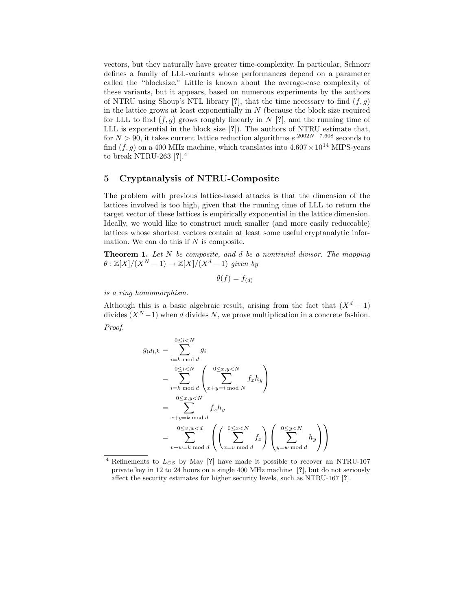vectors, but they naturally have greater time-complexity. In particular, Schnorr defines a family of LLL-variants whose performances depend on a parameter called the "blocksize." Little is known about the average-case complexity of these variants, but it appears, based on numerous experiments by the authors of NTRU using Shoup's NTL library [?], that the time necessary to find  $(f, g)$ in the lattice grows at least exponentially in  $N$  (because the block size required for LLL to find  $(f, g)$  grows roughly linearly in N [?], and the running time of LLL is exponential in the block size [?]). The authors of NTRU estimate that, for  $N > 90$ , it takes current lattice reduction algorithms  $e^{.2002N - 7.608}$  seconds to find  $(f, g)$  on a 400 MHz machine, which translates into  $4.607 \times 10^{14}$  MIPS-years to break NTRU-263 [?].<sup>4</sup>

# 5 Cryptanalysis of NTRU-Composite

The problem with previous lattice-based attacks is that the dimension of the lattices involved is too high, given that the running time of LLL to return the target vector of these lattices is empirically exponential in the lattice dimension. Ideally, we would like to construct much smaller (and more easily reduceable) lattices whose shortest vectors contain at least some useful cryptanalytic information. We can do this if  $N$  is composite.

**Theorem 1.** Let  $N$  be composite, and  $d$  be a nontrivial divisor. The mapping  $\theta$  :  $\mathbb{Z}[X]/(X^N-1) \to \mathbb{Z}[X]/(X^d-1)$  given by

 $\theta(f) = f_{(d)}$ 

is a ring homomorphism.

Although this is a basic algebraic result, arising from the fact that  $(X^d - 1)$ divides  $(X^N-1)$  when d divides N, we prove multiplication in a concrete fashion. Proof.

$$
g_{(d),k} = \sum_{i=k \bmod d}^{0 \le i < N} g_i
$$
  
\n
$$
= \sum_{i=k \bmod d}^{0 \le i < N} \left( \sum_{x+y=i \bmod N}^{0 \le x,y < N} f_x h_y \right)
$$
  
\n
$$
= \sum_{\substack{0 \le x,y < N \\ x+y=k \bmod d}}^{0 \le x,y} f_x h_y
$$
  
\n
$$
= \sum_{v+w=k \bmod d}^{0 \le x,y} \left( \left( \sum_{x=v \bmod d}^{0 \le x < N} f_x \right) \left( \sum_{y=w \bmod d}^{0 \le y < N} h_y \right) \right)
$$

Refinements to  $L_{CS}$  by May [?] have made it possible to recover an NTRU-107 private key in 12 to 24 hours on a single 400 MHz machine [?], but do not seriously affect the security estimates for higher security levels, such as NTRU-167 [?].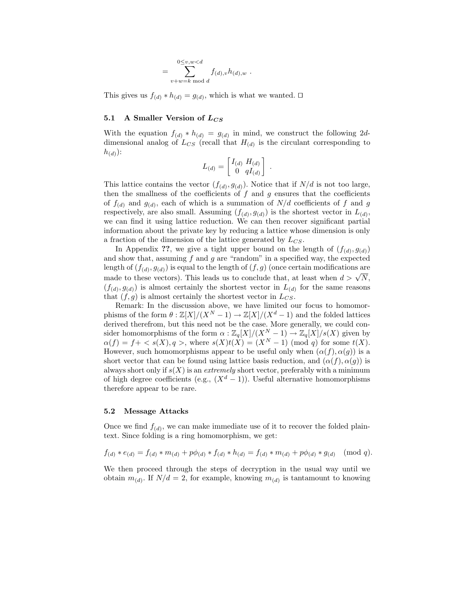$$
= \sum_{v+w=k \bmod d}^{0 \le v, w < d} f_{(d),v} h_{(d),w} .
$$

This gives us  $f_{(d)} * h_{(d)} = g_{(d)}$ , which is what we wanted.  $\square$ 

## 5.1 A Smaller Version of  $L_{CS}$

With the equation  $f_{(d)} * h_{(d)} = g_{(d)}$  in mind, we construct the following 2ddimensional analog of  $L_{CS}$  (recall that  $H_{(d)}$  is the circulant corresponding to  $h_{(d)}$ :

$$
L_{(d)} = \begin{bmatrix} I_{(d)} & H_{(d)} \\ 0 & qI_{(d)} \end{bmatrix} .
$$

This lattice contains the vector  $(f_{(d)}, g_{(d)})$ . Notice that if  $N/d$  is not too large, then the smallness of the coefficients of  $f$  and  $g$  ensures that the coefficients of  $f_{(d)}$  and  $g_{(d)}$ , each of which is a summation of  $N/d$  coefficients of f and g respectively, are also small. Assuming  $(f_{(d)}, g_{(d)})$  is the shortest vector in  $L_{(d)}$ , we can find it using lattice reduction. We can then recover significant partial information about the private key by reducing a lattice whose dimension is only a fraction of the dimension of the lattice generated by  $L_{CS}$ .

In Appendix ??, we give a tight upper bound on the length of  $(f_{(d)}, g_{(d)})$ and show that, assuming  $f$  and  $g$  are "random" in a specified way, the expected length of  $(f_{(d)}, g_{(d)})$  is equal to the length of  $(f, g)$  (once certain modifications are made to these vectors). This leads us to conclude that, at least when  $d > \sqrt{N}$ ,  $(f_{(d)}, g_{(d)})$  is almost certainly the shortest vector in  $L_{(d)}$  for the same reasons that  $(f, g)$  is almost certainly the shortest vector in  $L_{CS}$ .

Remark: In the discussion above, we have limited our focus to homomorphisms of the form  $\theta : \mathbb{Z}[X]/(X^N - 1) \to \mathbb{Z}[X]/(X^d - 1)$  and the folded lattices derived therefrom, but this need not be the case. More generally, we could consider homomorphisms of the form  $\alpha : \mathbb{Z}_q[X]/(X^N-1) \to \mathbb{Z}_q[X]/s(X)$  given by  $\alpha(f) = f + \langle s(X), q \rangle$ , where  $s(X)t(X) = (X^N - 1) \pmod{q}$  for some  $t(X)$ . However, such homomorphisms appear to be useful only when  $(\alpha(f), \alpha(g))$  is a short vector that can be found using lattice basis reduction, and  $(\alpha(f), \alpha(q))$  is always short only if  $s(X)$  is an *extremely* short vector, preferably with a minimum of high degree coefficients (e.g.,  $(X^d - 1)$ ). Useful alternative homomorphisms therefore appear to be rare.

#### 5.2 Message Attacks

Once we find  $f_{(d)}$ , we can make immediate use of it to recover the folded plaintext. Since folding is a ring homomorphism, we get:

$$
f_{(d)} * e_{(d)} = f_{(d)} * m_{(d)} + p\phi_{(d)} * f_{(d)} * h_{(d)} = f_{(d)} * m_{(d)} + p\phi_{(d)} * g_{(d)} \pmod{q}.
$$

We then proceed through the steps of decryption in the usual way until we obtain  $m_{(d)}$ . If  $N/d = 2$ , for example, knowing  $m_{(d)}$  is tantamount to knowing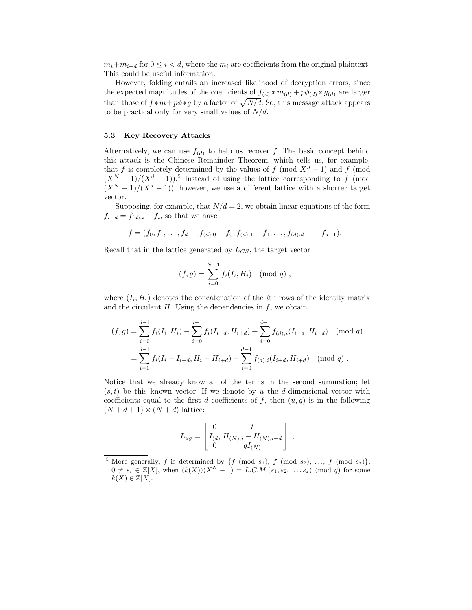$m_i+m_{i+d}$  for  $0 \leq i < d$ , where the  $m_i$  are coefficients from the original plaintext. This could be useful information.

However, folding entails an increased likelihood of decryption errors, since the expected magnitudes of the coefficients of  $f_{(d)} * m_{(d)} + p\phi_{(d)} * g_{(d)}$  are larger than those of  $f * m + p\phi * g$  by a factor of  $\sqrt{N/d}$ . So, this message attack appears to be practical only for very small values of  $N/d$ .

#### 5.3 Key Recovery Attacks

Alternatively, we can use  $f_{(d)}$  to help us recover f. The basic concept behind this attack is the Chinese Remainder Theorem, which tells us, for example, that f is completely determined by the values of f (mod  $X^d - 1$ ) and f (mod  $(X^N-1)/(X^d-1))$ .<sup>5</sup> Instead of using the lattice corresponding to f (mod  $(X<sup>N</sup> - 1)/(X<sup>d</sup> - 1)$ , however, we use a different lattice with a shorter target vector.

Supposing, for example, that  $N/d = 2$ , we obtain linear equations of the form  $f_{i+d} = f_{(d),i} - f_i$ , so that we have

$$
f = (f_0, f_1, \ldots, f_{d-1}, f_{(d),0} - f_0, f_{(d),1} - f_1, \ldots, f_{(d),d-1} - f_{d-1}).
$$

Recall that in the lattice generated by  $L_{CS}$ , the target vector

$$
(f,g) = \sum_{i=0}^{N-1} f_i(I_i, H_i) \pmod{q},
$$

where  $(I_i, H_i)$  denotes the concatenation of the *i*th rows of the identity matrix and the circulant  $H$ . Using the dependencies in  $f$ , we obtain

$$
(f,g) = \sum_{i=0}^{d-1} f_i(I_i, H_i) - \sum_{i=0}^{d-1} f_i(I_{i+d}, H_{i+d}) + \sum_{i=0}^{d-1} f_{(d),i}(I_{i+d}, H_{i+d}) \pmod{q}
$$
  
= 
$$
\sum_{i=0}^{d-1} f_i(I_i - I_{i+d}, H_i - H_{i+d}) + \sum_{i=0}^{d-1} f_{(d),i}(I_{i+d}, H_{i+d}) \pmod{q}.
$$

Notice that we already know all of the terms in the second summation; let  $(s,t)$  be this known vector. If we denote by u the d-dimensional vector with coefficients equal to the first d coefficients of f, then  $(u, g)$  is in the following  $(N + d + 1) \times (N + d)$  lattice:

$$
L_{ug} = \begin{bmatrix} 0 & t \\ \overline{I_{(d)} H_{(N),i} - H_{(N),i+d}} \\ 0 & qI_{(N)} \end{bmatrix} ,
$$

<sup>&</sup>lt;sup>5</sup> More generally, f is determined by {f (mod  $s_1$ ), f (mod  $s_2$ ), ..., f (mod  $s_z$ )},  $0 \neq s_i \in \mathbb{Z}[X],$  when  $(k(X))(X^N - 1) = L.C.M.(s_1, s_2, \ldots, s_z) \pmod{q}$  for some  $k(X) \in \mathbb{Z}[X].$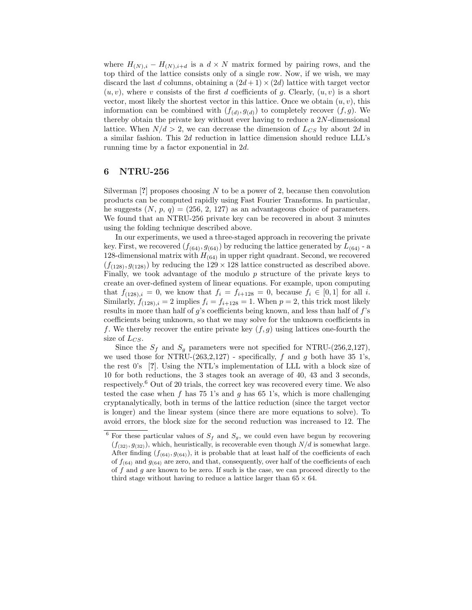where  $H_{(N),i} - H_{(N),i+d}$  is a  $d \times N$  matrix formed by pairing rows, and the top third of the lattice consists only of a single row. Now, if we wish, we may discard the last d columns, obtaining a  $(2d+1) \times (2d)$  lattice with target vector  $(u, v)$ , where v consists of the first d coefficients of g. Clearly,  $(u, v)$  is a short vector, most likely the shortest vector in this lattice. Once we obtain  $(u, v)$ , this information can be combined with  $(f_{(d)}, g_{(d)})$  to completely recover  $(f, g)$ . We thereby obtain the private key without ever having to reduce a  $2N$ -dimensional lattice. When  $N/d > 2$ , we can decrease the dimension of  $L_{CS}$  by about 2d in a similar fashion. This 2d reduction in lattice dimension should reduce LLL's running time by a factor exponential in 2d.

# 6 NTRU-256

Silverman  $[?]$  proposes choosing N to be a power of 2, because then convolution products can be computed rapidly using Fast Fourier Transforms. In particular, he suggests  $(N, p, q) = (256, 2, 127)$  as an advantageous choice of parameters. We found that an NTRU-256 private key can be recovered in about 3 minutes using the folding technique described above.

In our experiments, we used a three-staged approach in recovering the private key. First, we recovered  $(f_{(64)}, g_{(64)})$  by reducing the lattice generated by  $L_{(64)}$  - a 128-dimensional matrix with  $H_{(64)}$  in upper right quadrant. Second, we recovered  $(f_{(128)}, g_{(128)})$  by reducing the 129  $\times$  128 lattice constructed as described above. Finally, we took advantage of the modulo  $p$  structure of the private keys to create an over-defined system of linear equations. For example, upon computing that  $f_{(128),i} = 0$ , we know that  $f_i = f_{i+128} = 0$ , because  $f_i \in [0,1]$  for all i. Similarly,  $f_{(128),i} = 2$  implies  $f_i = f_{i+128} = 1$ . When  $p = 2$ , this trick most likely results in more than half of  $g$ 's coefficients being known, and less than half of  $f$ 's coefficients being unknown, so that we may solve for the unknown coefficients in f. We thereby recover the entire private key  $(f, g)$  using lattices one-fourth the size of  $L_{CS}$ .

Since the  $S_f$  and  $S_g$  parameters were not specified for NTRU-(256,2,127), we used those for NTRU-(263,2,127) - specifically, f and q both have 35 1's, the rest 0's [?]. Using the NTL's implementation of LLL with a block size of 10 for both reductions, the 3 stages took an average of 40, 43 and 3 seconds, respectively. <sup>6</sup> Out of 20 trials, the correct key was recovered every time. We also tested the case when  $f$  has 75 1's and  $g$  has 65 1's, which is more challenging cryptanalytically, both in terms of the lattice reduction (since the target vector is longer) and the linear system (since there are more equations to solve). To avoid errors, the block size for the second reduction was increased to 12. The

<sup>&</sup>lt;sup>6</sup> For these particular values of  $S_f$  and  $S_g$ , we could even have begun by recovering  $(f_{(32)}, g_{(32)})$ , which, heuristically, is recoverable even though  $N/d$  is somewhat large. After finding  $(f_{(64)}, g_{(64)})$ , it is probable that at least half of the coefficients of each of  $f_{(64)}$  and  $g_{(64)}$  are zero, and that, consequently, over half of the coefficients of each of  $f$  and  $g$  are known to be zero. If such is the case, we can proceed directly to the third stage without having to reduce a lattice larger than  $65 \times 64$ .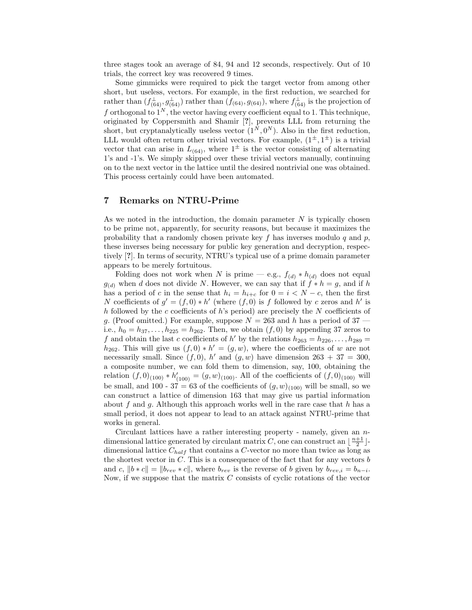three stages took an average of 84, 94 and 12 seconds, respectively. Out of 10 trials, the correct key was recovered 9 times.

Some gimmicks were required to pick the target vector from among other short, but useless, vectors. For example, in the first reduction, we searched for rather than  $(f_{(64)}^{\perp}, g_{(64)}^{\perp})$  rather than  $(f_{(64)}, g_{(64)})$ , where  $f_{(64)}^{\perp}$  is the projection of f orthogonal to  $1^N$ , the vector having every coefficient equal to 1. This technique, originated by Coppersmith and Shamir [?], prevents LLL from returning the short, but cryptanalytically useless vector  $(1^N, 0^N)$ . Also in the first reduction, LLL would often return other trivial vectors. For example,  $(1^{\pm}, 1^{\pm})$  is a trivial vector that can arise in  $L_{(64)}$ , where  $1^{\pm}$  is the vector consisting of alternating 1's and -1's. We simply skipped over these trivial vectors manually, continuing on to the next vector in the lattice until the desired nontrivial one was obtained. This process certainly could have been automated.

# 7 Remarks on NTRU-Prime

As we noted in the introduction, the domain parameter  $N$  is typically chosen to be prime not, apparently, for security reasons, but because it maximizes the probability that a randomly chosen private key  $f$  has inverses modulo  $q$  and  $p$ , these inverses being necessary for public key generation and decryption, respectively [?]. In terms of security, NTRU's typical use of a prime domain parameter appears to be merely fortuitous.

Folding does not work when N is prime — e.g.,  $f_{(d)} * h_{(d)}$  does not equal  $g_{(d)}$  when d does not divide N. However, we can say that if  $f * h = g$ , and if h has a period of c in the sense that  $h_i = h_{i+c}$  for  $0 = i \langle N-c \rangle$ , then the first N coefficients of  $g' = (f, 0) * h'$  (where  $(f, 0)$  is f followed by c zeros and h' is h followed by the c coefficients of h's period) are precisely the N coefficients of g. (Proof omitted.) For example, suppose  $N = 263$  and h has a period of 37 i.e.,  $h_0 = h_{37}, \ldots, h_{225} = h_{262}$ . Then, we obtain  $(f, 0)$  by appending 37 zeros to f and obtain the last c coefficients of h' by the relations  $h_{263} = h_{226}, \ldots, h_{289} =$  $h_{262}$ . This will give us  $(f, 0) * h' = (g, w)$ , where the coefficients of w are not necessarily small. Since  $(f, 0)$ , h' and  $(g, w)$  have dimension  $263 + 37 = 300$ , a composite number, we can fold them to dimension, say, 100, obtaining the relation  $(f, 0)_{(100)} * h'_{(100)} = (g, w)_{(100)}$ . All of the coefficients of  $(f, 0)_{(100)}$  will be small, and 100 - 37 = 63 of the coefficients of  $(g, w)_{(100)}$  will be small, so we can construct a lattice of dimension 163 that may give us partial information about f and g. Although this approach works well in the rare case that h has a small period, it does not appear to lead to an attack against NTRU-prime that works in general.

Circulant lattices have a rather interesting property - namely, given an  $n$ dimensional lattice generated by circulant matrix C, one can construct an  $\lfloor \frac{n+1}{2} \rfloor$ . dimensional lattice  $C_{half}$  that contains a C-vector no more than twice as long as the shortest vector in  $C$ . This is a consequence of the fact that for any vectors  $b$ and c,  $||b * c|| = ||b_{rev} * c||$ , where  $b_{rev}$  is the reverse of b given by  $b_{rev,i} = b_{n-i}$ . Now, if we suppose that the matrix  $C$  consists of cyclic rotations of the vector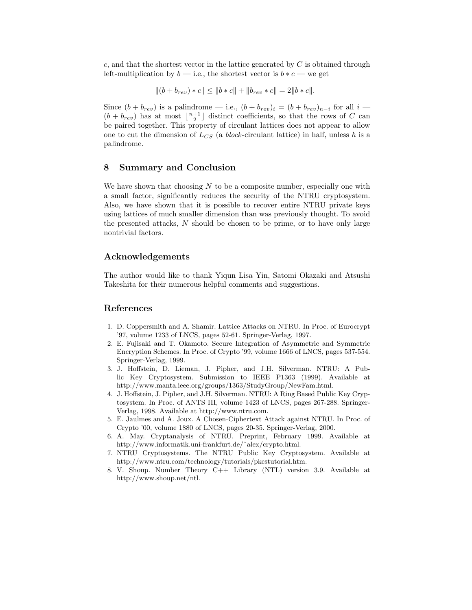c, and that the shortest vector in the lattice generated by  $C$  is obtained through left-multiplication by  $b$  — i.e., the shortest vector is  $b * c$  — we get

$$
||(b + b_{rev}) * c|| \le ||b * c|| + ||b_{rev} * c|| = 2||b * c||.
$$

Since  $(b + b_{rev})$  is a palindrome — i.e.,  $(b + b_{rev})_i = (b + b_{rev})_{n-i}$  for all  $i$  —  $(b + b_{rev})$  has at most  $\lfloor \frac{n+1}{2} \rfloor$  distinct coefficients, so that the rows of C can be paired together. This property of circulant lattices does not appear to allow one to cut the dimension of  $L_{CS}$  (a *block*-circulant lattice) in half, unless h is a palindrome.

## 8 Summary and Conclusion

We have shown that choosing  $N$  to be a composite number, especially one with a small factor, significantly reduces the security of the NTRU cryptosystem. Also, we have shown that it is possible to recover entire NTRU private keys using lattices of much smaller dimension than was previously thought. To avoid the presented attacks, N should be chosen to be prime, or to have only large nontrivial factors.

# Acknowledgements

The author would like to thank Yiqun Lisa Yin, Satomi Okazaki and Atsushi Takeshita for their numerous helpful comments and suggestions.

# References

- 1. D. Coppersmith and A. Shamir. Lattice Attacks on NTRU. In Proc. of Eurocrypt '97, volume 1233 of LNCS, pages 52-61. Springer-Verlag, 1997.
- 2. E. Fujisaki and T. Okamoto. Secure Integration of Asymmetric and Symmetric Encryption Schemes. In Proc. of Crypto '99, volume 1666 of LNCS, pages 537-554. Springer-Verlag, 1999.
- 3. J. Hoffstein, D. Lieman, J. Pipher, and J.H. Silverman. NTRU: A Public Key Cryptosystem. Submission to IEEE P1363 (1999). Available at http://www.manta.ieee.org/groups/1363/StudyGroup/NewFam.html.
- 4. J. Hoffstein, J. Pipher, and J.H. Silverman. NTRU: A Ring Based Public Key Cryptosystem. In Proc. of ANTS III, volume 1423 of LNCS, pages 267-288. Springer-Verlag, 1998. Available at http://www.ntru.com.
- 5. E. Jaulmes and A. Joux. A Chosen-Ciphertext Attack against NTRU. In Proc. of Crypto '00, volume 1880 of LNCS, pages 20-35. Springer-Verlag, 2000.
- 6. A. May. Cryptanalysis of NTRU. Preprint, February 1999. Available at http://www.informatik.uni-frankfurt.de/˜alex/crypto.html.
- 7. NTRU Cryptosystems. The NTRU Public Key Cryptosystem. Available at http://www.ntru.com/technology/tutorials/pkcstutorial.htm.
- 8. V. Shoup. Number Theory C++ Library (NTL) version 3.9. Available at http://www.shoup.net/ntl.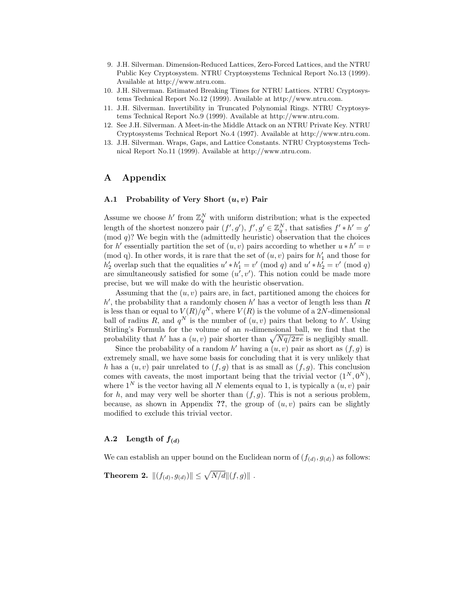- 9. J.H. Silverman. Dimension-Reduced Lattices, Zero-Forced Lattices, and the NTRU Public Key Cryptosystem. NTRU Cryptosystems Technical Report No.13 (1999). Available at http://www.ntru.com.
- 10. J.H. Silverman. Estimated Breaking Times for NTRU Lattices. NTRU Cryptosystems Technical Report No.12 (1999). Available at http://www.ntru.com.
- 11. J.H. Silverman. Invertibility in Truncated Polynomial Rings. NTRU Cryptosystems Technical Report No.9 (1999). Available at http://www.ntru.com.
- 12. See J.H. Silverman. A Meet-in-the Middle Attack on an NTRU Private Key. NTRU Cryptosystems Technical Report No.4 (1997). Available at http://www.ntru.com.
- 13. J.H. Silverman. Wraps, Gaps, and Lattice Constants. NTRU Cryptosystems Technical Report No.11 (1999). Available at http://www.ntru.com.

# A Appendix

## A.1 Probability of Very Short  $(u, v)$  Pair

Assume we choose  $h'$  from  $\mathbb{Z}_q^N$  with uniform distribution; what is the expected length of the shortest nonzero pair  $(f', g')$ ,  $f', g' \in \mathbb{Z}_q^N$ , that satisfies  $f' * h' = g'$  $\pmod{q}$ ? We begin with the (admittedly heuristic) observation that the choices for h' essentially partition the set of  $(u, v)$  pairs according to whether  $u * h' = v$ (mod q). In other words, it is rare that the set of  $(u, v)$  pairs for  $h'_1$  and those for  $h'_2$  overlap such that the equalities  $u' * h'_1 = v' \pmod{q}$  and  $u' * h'_2 = v' \pmod{q}$ are simultaneously satisfied for some  $(u', v')$ . This notion could be made more precise, but we will make do with the heuristic observation.

Assuming that the  $(u, v)$  pairs are, in fact, partitioned among the choices for  $h'$ , the probability that a randomly chosen  $h'$  has a vector of length less than R is less than or equal to  $V(R)/q^N$ , where  $V(R)$  is the volume of a 2N-dimensional ball of radius R, and  $q^N$  is the number of  $(u, v)$  pairs that belong to h'. Using Stirling's Formula for the volume of an  $n$ -dimensional ball, we find that the probability that h' has a  $(u, v)$  pair shorter than  $\sqrt{Nq/2\pi e}$  is negligibly small.

Since the probability of a random  $h'$  having a  $(u, v)$  pair as short as  $(f, g)$  is extremely small, we have some basis for concluding that it is very unlikely that h has a  $(u, v)$  pair unrelated to  $(f, g)$  that is as small as  $(f, g)$ . This conclusion comes with caveats, the most important being that the trivial vector  $(1^N, 0^N)$ , where  $1^N$  is the vector having all N elements equal to 1, is typically a  $(u, v)$  pair for h, and may very well be shorter than  $(f, g)$ . This is not a serious problem, because, as shown in Appendix ??, the group of  $(u, v)$  pairs can be slightly modified to exclude this trivial vector.

#### A.2 Length of  $f_{(d)}$

We can establish an upper bound on the Euclidean norm of  $(f_{(d)}, g_{(d)})$  as follows:

**Theorem 2.**  $\|(f_{(d)}, g_{(d)})\| \leq \sqrt{N/d} \|(f, g)\|$ .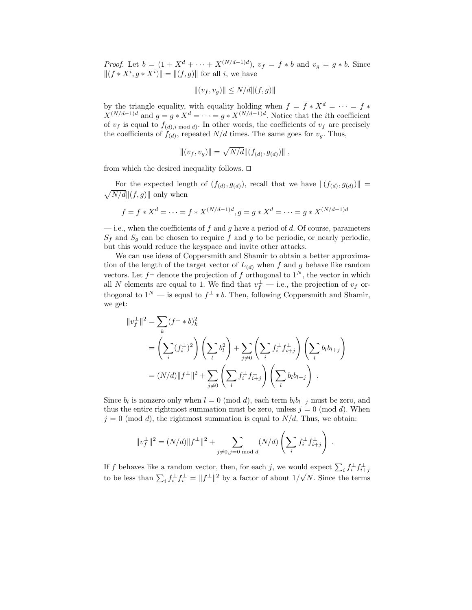*Proof.* Let  $b = (1 + X^{d} + \cdots + X^{(N/d-1)d})$ ,  $v_f = f * b$  and  $v_g = g * b$ . Since  $||(f * X^i, g * X^i)|| = ||(f, g)||$  for all *i*, we have

$$
||(v_f, v_g)|| \le N/d||(f, g)||
$$

by the triangle equality, with equality holding when  $f = f * X^d = \cdots = f *$  $X^{(N/d-1)d}$  and  $g = g * X^d = \cdots = g * X^{(N/d-1)d}$ . Notice that the *i*th coefficient of  $v_f$  is equal to  $f_{(d),i \bmod d}$ . In other words, the coefficients of  $v_f$  are precisely the coefficients of  $f_{(d)}$ , repeated  $N/d$  times. The same goes for  $v_g$ . Thus,

$$
||(v_f, v_g)|| = \sqrt{N/d} ||(f_{(d)}, g_{(d)})||,
$$

from which the desired inequality follows.  $\Box$ 

For the expected length of  $(f_{(d)}, g_{(d)})$ , recall that we have  $||(f_{(d)}, g_{(d)})|| = \sqrt{N/d}||(f, g)||$  only when  $\sqrt{N/d}$  (f, g) only when

$$
f = f * X^d = \dots = f * X^{(N/d-1)d}, g = g * X^d = \dots = g * X^{(N/d-1)d}
$$

 $-$  i.e., when the coefficients of f and g have a period of d. Of course, parameters  $S_f$  and  $S_g$  can be chosen to require f and g to be periodic, or nearly periodic, but this would reduce the keyspace and invite other attacks.

We can use ideas of Coppersmith and Shamir to obtain a better approximation of the length of the target vector of  $L_{(d)}$  when f and g behave like random vectors. Let  $f^{\perp}$  denote the projection of f orthogonal to  $1^N$ , the vector in which all N elements are equal to 1. We find that  $v_f^{\perp}$  — i.e., the projection of  $v_f$  orthogonal to  $1^N$  — is equal to  $f^{\perp} * b$ . Then, following Coppersmith and Shamir, we get:

$$
||v_f^{\perp}||^2 = \sum_{k} (f^{\perp} * b)_k^2
$$
  
=  $\left(\sum_{i} (f_i^{\perp})^2\right) \left(\sum_{l} b_l^2\right) + \sum_{j \neq 0} \left(\sum_{i} f_i^{\perp} f_{i+j}^{\perp}\right) \left(\sum_{l} b_l b_{l+j}\right)$   
=  $(N/d)||f^{\perp}||^2 + \sum_{j \neq 0} \left(\sum_{i} f_i^{\perp} f_{i+j}^{\perp}\right) \left(\sum_{l} b_l b_{l+j}\right).$ 

Since  $b_l$  is nonzero only when  $l = 0 \pmod{d}$ , each term  $b_l b_{l+j}$  must be zero, and thus the entire rightmost summation must be zero, unless  $j = 0 \pmod{d}$ . When  $j = 0 \pmod{d}$ , the rightmost summation is equal to  $N/d$ . Thus, we obtain:

$$
||v_f^{\perp}||^2 = (N/d)||f^{\perp}||^2 + \sum_{j \neq 0, j=0 \text{ mod } d} (N/d) \left( \sum_i f_i^{\perp} f_{i+j}^{\perp} \right) .
$$

If f behaves like a random vector, then, for each j, we would expect  $\sum_i f_i^{\perp} f_{i+j}^{\perp}$ to be less than  $\sum_i f_i^{\perp} f_i^{\perp} = ||f^{\perp}||^2$  by a factor of about  $1/\sqrt{N}$ . Since the terms